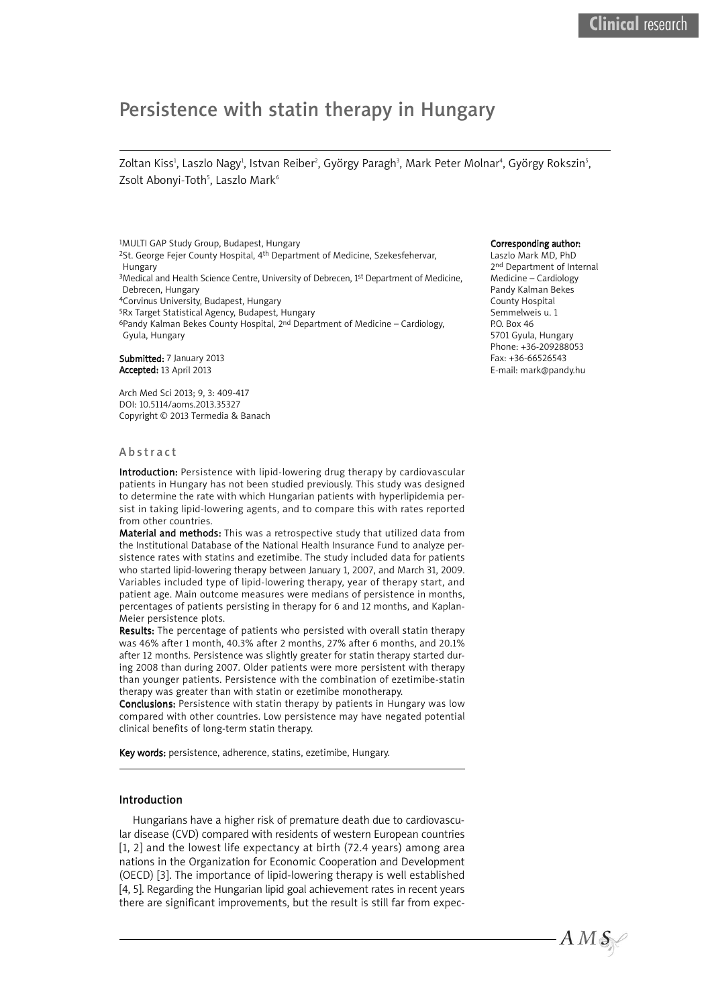# Persistence with statin therapy in Hungary

Zoltan Kiss<sup>ı</sup>, Laszlo Nagy<sup>ı</sup>, Istvan Reiber<sup>2</sup>, György Paragh<sup>3</sup>, Mark Peter Molnar<sup>4</sup>, György Rokszin<sup>s</sup>, Zsolt Abonyi-Toth<sup>5</sup>, Laszlo Mark<sup>6</sup>

1MULTI GAP Study Group, Budapest, Hungary <sup>2</sup>St. George Fejer County Hospital, 4<sup>th</sup> Department of Medicine, Szekesfehervar, Hungary <sup>3</sup>Medical and Health Science Centre, University of Debrecen, 1<sup>st</sup> Department of Medicine, Debrecen, Hungary 4Corvinus University, Budapest, Hungary 5Rx Target Statistical Agency, Budapest, Hungary 6Pandy Kalman Bekes County Hospital, 2nd Department of Medicine – Cardiology, Gyula, Hungary

Submitted: 7 January 2013 Accepted: 13 April 2013

Arch Med Sci 2013; 9, 3: 409-417 DOI: 10.5114/aoms.2013.35327 Copyright © 2013 Termedia & Banach

#### **Abstract**

Introduction: Persistence with lipid-lowering drug therapy by cardiovascular patients in Hungary has not been studied previously. This study was designed to determine the rate with which Hungarian patients with hyperlipidemia persist in taking lipid-lowering agents, and to compare this with rates reported from other countries.

Material and methods: This was a retrospective study that utilized data from the Institutional Database of the National Health Insurance Fund to analyze persistence rates with statins and ezetimibe. The study included data for patients who started lipid-lowering therapy between January 1, 2007, and March 31, 2009. Variables included type of lipid-lowering therapy, year of therapy start, and patient age. Main outcome measures were medians of persistence in months, percentages of patients persisting in therapy for 6 and 12 months, and Kaplan-Meier persistence plots.

Results: The percentage of patients who persisted with overall statin therapy was 46% after 1 month, 40.3% after 2 months, 27% after 6 months, and 20.1% after 12 months. Persistence was slightly greater for statin therapy started during 2008 than during 2007. Older patients were more persistent with therapy than younger patients. Persistence with the combination of ezetimibe-statin therapy was greater than with statin or ezetimibe monotherapy.

Conclusions: Persistence with statin therapy by patients in Hungary was low compared with other countries. Low persistence may have negated potential clinical benefits of long-term statin therapy.

Key words: persistence, adherence, statins, ezetimibe, Hungary.

#### Introduction

Hungarians have a higher risk of premature death due to cardiovascular disease (CVD) compared with residents of western European countries [1, 2] and the lowest life expectancy at birth (72.4 years) among area nations in the Organization for Economic Cooperation and Development (OECD) [3]. The importance of lipid-lowering therapy is well established [4, 5]. Regarding the Hungarian lipid goal achievement rates in recent years there are significant improvements, but the result is still far from expec-

# Corresponding author:

Laszlo Mark MD, PhD 2nd Department of Internal Medicine – Cardiology Pandy Kalman Bekes County Hospital Semmelweis u. 1 **PO. Box 46** 5701 Gyula, Hungary Phone: +36-209288053 Fax: +36-66526543 E-mail: mark@pandy.hu

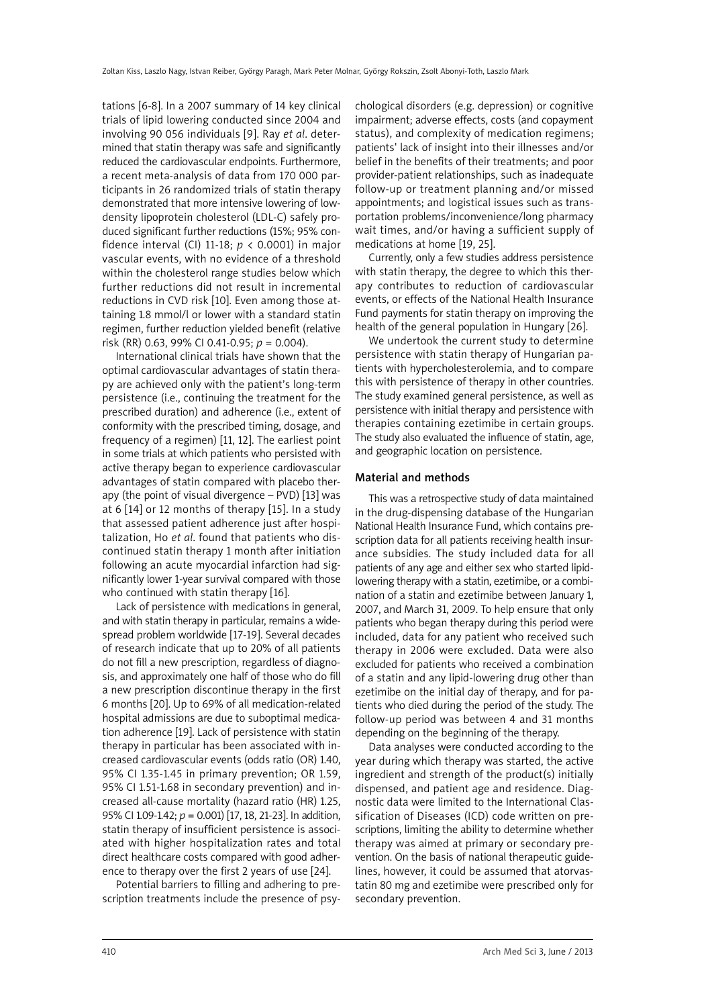tations [6-8]. In a 2007 summary of 14 key clinical trials of lipid lowering conducted since 2004 and involving 90 056 individuals [9]. Ray *et al*. determined that statin therapy was safe and significantly reduced the cardiovascular endpoints. Furthermore, a recent meta-analysis of data from 170 000 participants in 26 randomized trials of statin therapy demonstrated that more intensive lowering of lowdensity lipoprotein cholesterol (LDL-C) safely produced significant further reductions (15%; 95% confidence interval (CI) 11-18; *p* < 0.0001) in major vascular events, with no evidence of a threshold within the cholesterol range studies below which further reductions did not result in incremental reductions in CVD risk [10]. Even among those attaining 1.8 mmol/l or lower with a standard statin regimen, further reduction yielded benefit (relative risk (RR) 0.63, 99% CI 0.41-0.95; *p* = 0.004).

International clinical trials have shown that the optimal cardiovascular advantages of statin therapy are achieved only with the patient's long-term persistence (i.e., continuing the treatment for the prescribed duration) and adherence (i.e., extent of conformity with the prescribed timing, dosage, and frequency of a regimen) [11, 12]. The earliest point in some trials at which patients who persisted with active therapy began to experience cardiovascular advantages of statin compared with placebo therapy (the point of visual divergence – PVD) [13] was at 6 [14] or 12 months of therapy [15]. In a study that assessed patient adherence just after hospitalization, Ho *et al*. found that patients who discontinued statin therapy 1 month after initiation following an acute myocardial infarction had significantly lower 1-year survival compared with those who continued with statin therapy [16].

Lack of persistence with medications in general, and with statin therapy in particular, remains a widespread problem worldwide [17-19]. Several decades of research indicate that up to 20% of all patients do not fill a new prescription, regardless of diagnosis, and approximately one half of those who do fill a new prescription discontinue therapy in the first 6 months [20]. Up to 69% of all medication-related hospital admissions are due to suboptimal medication adherence [19]. Lack of persistence with statin therapy in particular has been associated with increased cardiovascular events (odds ratio (OR) 1.40, 95% CI 1.35-1.45 in primary prevention; OR 1.59, 95% CI 1.51-1.68 in secondary prevention) and increased all-cause mortality (hazard ratio (HR) 1.25, 95% CI 1.09-1.42; *p* = 0.001) [17, 18, 21-23]. In addition, statin therapy of insufficient persistence is associated with higher hospitalization rates and total direct healthcare costs compared with good adherence to therapy over the first 2 years of use [24].

Potential barriers to filling and adhering to prescription treatments include the presence of psychological disorders (e.g. depression) or cognitive impairment; adverse effects, costs (and copayment status), and complexity of medication regimens; patients' lack of insight into their illnesses and/or belief in the benefits of their treatments; and poor provider-patient relationships, such as inadequate follow-up or treatment planning and/or missed appointments; and logistical issues such as transportation problems/inconvenience/long pharmacy wait times, and/or having a sufficient supply of medications at home [19, 25].

Currently, only a few studies address persistence with statin therapy, the degree to which this therapy contributes to reduction of cardiovascular events, or effects of the National Health Insurance Fund payments for statin therapy on improving the health of the general population in Hungary [26].

We undertook the current study to determine persistence with statin therapy of Hungarian patients with hypercholesterolemia, and to compare this with persistence of therapy in other countries. The study examined general persistence, as well as persistence with initial therapy and persistence with therapies containing ezetimibe in certain groups. The study also evaluated the influence of statin, age, and geographic location on persistence.

## Material and methods

This was a retrospective study of data maintained in the drug-dispensing database of the Hungarian National Health Insurance Fund, which contains prescription data for all patients receiving health insurance subsidies. The study included data for all patients of any age and either sex who started lipidlowering therapy with a statin, ezetimibe, or a combination of a statin and ezetimibe between January 1, 2007, and March 31, 2009. To help ensure that only patients who began therapy during this period were included, data for any patient who received such therapy in 2006 were excluded. Data were also excluded for patients who received a combination of a statin and any lipid-lowering drug other than ezetimibe on the initial day of therapy, and for patients who died during the period of the study. The follow-up period was between 4 and 31 months depending on the beginning of the therapy.

Data analyses were conducted according to the year during which therapy was started, the active ingredient and strength of the product(s) initially dispensed, and patient age and residence. Diagnostic data were limited to the International Classification of Diseases (ICD) code written on prescriptions, limiting the ability to determine whether therapy was aimed at primary or secondary prevention. On the basis of national therapeutic guidelines, however, it could be assumed that atorvastatin 80 mg and ezetimibe were prescribed only for secondary prevention.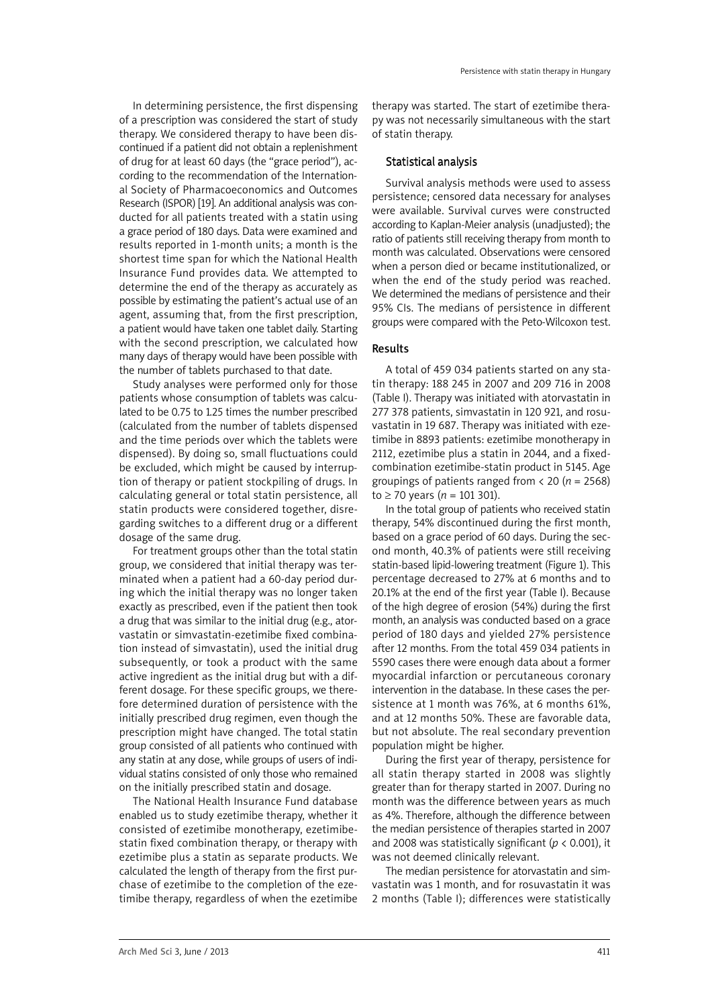In determining persistence, the first dispensing of a prescription was considered the start of study therapy. We considered therapy to have been discontinued if a patient did not obtain a replenishment of drug for at least 60 days (the "grace period"), according to the recommendation of the International Society of Pharmacoeconomics and Outcomes Research (ISPOR) [19]. An additional analysis was conducted for all patients treated with a statin using a grace period of 180 days. Data were examined and results reported in 1-month units; a month is the shortest time span for which the National Health Insurance Fund provides data. We attempted to determine the end of the therapy as accurately as possible by estimating the patient's actual use of an agent, assuming that, from the first prescription, a patient would have taken one tablet daily. Starting with the second prescription, we calculated how many days of therapy would have been possible with the number of tablets purchased to that date.

Study analyses were performed only for those patients whose consumption of tablets was calculated to be 0.75 to 1.25 times the number prescribed (calculated from the number of tablets dispensed and the time periods over which the tablets were dispensed). By doing so, small fluctuations could be excluded, which might be caused by interruption of therapy or patient stockpiling of drugs. In calculating general or total statin persistence, all statin products were considered together, disregarding switches to a different drug or a different dosage of the same drug.

For treatment groups other than the total statin group, we considered that initial therapy was terminated when a patient had a 60-day period during which the initial therapy was no longer taken exactly as prescribed, even if the patient then took a drug that was similar to the initial drug (e.g., atorvastatin or simvastatin-ezetimibe fixed combination instead of simvastatin), used the initial drug subsequently, or took a product with the same active ingredient as the initial drug but with a different dosage. For these specific groups, we therefore determined duration of persistence with the initially prescribed drug regimen, even though the prescription might have changed. The total statin group consisted of all patients who continued with any statin at any dose, while groups of users of individual statins consisted of only those who remained on the initially prescribed statin and dosage.

The National Health Insurance Fund database enabled us to study ezetimibe therapy, whether it consisted of ezetimibe monotherapy, ezetimibestatin fixed combination therapy, or therapy with ezetimibe plus a statin as separate products. We calculated the length of therapy from the first purchase of ezetimibe to the completion of the ezetimibe therapy, regardless of when the ezetimibe therapy was started. The start of ezetimibe therapy was not necessarily simultaneous with the start of statin therapy.

## Statistical analysis

Survival analysis methods were used to assess persistence; censored data necessary for analyses were available. Survival curves were constructed according to Kaplan-Meier analysis (unadjusted); the ratio of patients still receiving therapy from month to month was calculated. Observations were censored when a person died or became institutionalized, or when the end of the study period was reached. We determined the medians of persistence and their 95% CIs. The medians of persistence in different groups were compared with the Peto-Wilcoxon test.

## Results

A total of 459 034 patients started on any statin therapy: 188 245 in 2007 and 209 716 in 2008 (Table I). Therapy was initiated with atorvastatin in 277 378 patients, simvastatin in 120 921, and rosuvastatin in 19 687. Therapy was initiated with ezetimibe in 8893 patients: ezetimibe monotherapy in 2112, ezetimibe plus a statin in 2044, and a fixedcombination ezetimibe-statin product in 5145. Age groupings of patients ranged from < 20 (*n* = 2568) to ≥ 70 years ( $n = 101301$ ).

In the total group of patients who received statin therapy, 54% discontinued during the first month, based on a grace period of 60 days. During the second month, 40.3% of patients were still receiving statin-based lipid-lowering treatment (Figure 1). This percentage decreased to 27% at 6 months and to 20.1% at the end of the first year (Table I). Because of the high degree of erosion (54%) during the first month, an analysis was conducted based on a grace period of 180 days and yielded 27% persistence after 12 months. From the total 459 034 patients in 5590 cases there were enough data about a former myocardial infarction or percutaneous coronary intervention in the database. In these cases the persistence at 1 month was 76%, at 6 months 61%, and at 12 months 50%. These are favorable data, but not absolute. The real secondary prevention population might be higher.

During the first year of therapy, persistence for all statin therapy started in 2008 was slightly greater than for therapy started in 2007. During no month was the difference between years as much as 4%. Therefore, although the difference between the median persistence of therapies started in 2007 and 2008 was statistically significant (*p* < 0.001), it was not deemed clinically relevant.

The median persistence for atorvastatin and simvastatin was 1 month, and for rosuvastatin it was 2 months (Table I); differences were statistically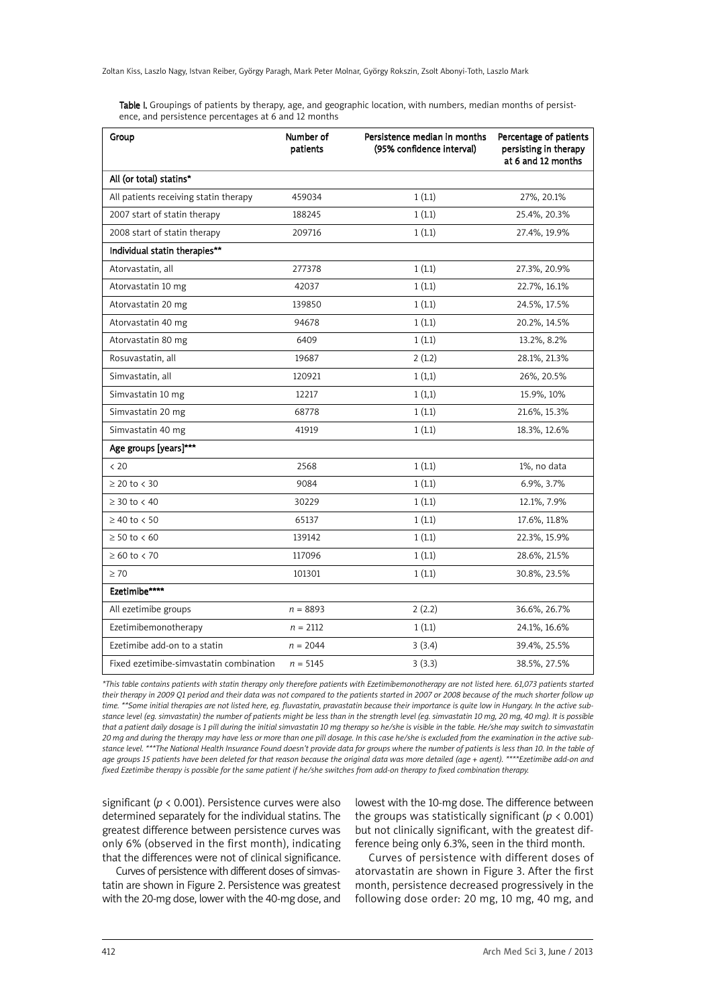Zoltan Kiss, Laszlo Nagy, Istvan Reiber, György Paragh, Mark Peter Molnar, György Rokszin, Zsolt Abonyi-Toth, Laszlo Mark

Table I. Groupings of patients by therapy, age, and geographic location, with numbers, median months of persistence, and persistence percentages at 6 and 12 months

| Group                                   | Number of<br>patients | Persistence median in months<br>(95% confidence interval) | Percentage of patients<br>persisting in therapy<br>at 6 and 12 months |
|-----------------------------------------|-----------------------|-----------------------------------------------------------|-----------------------------------------------------------------------|
| All (or total) statins*                 |                       |                                                           |                                                                       |
| All patients receiving statin therapy   | 459034                | 1(1.1)                                                    | 27%, 20.1%                                                            |
| 2007 start of statin therapy            | 188245                | 1(1.1)                                                    | 25.4%, 20.3%                                                          |
| 2008 start of statin therapy            | 209716                | 1(1.1)                                                    | 27.4%, 19.9%                                                          |
| Individual statin therapies**           |                       |                                                           |                                                                       |
| Atorvastatin, all                       | 277378                | 1(1.1)                                                    | 27.3%, 20.9%                                                          |
| Atorvastatin 10 mg                      | 42037                 | 1(1.1)                                                    | 22.7%, 16.1%                                                          |
| Atorvastatin 20 mg                      | 139850                | 1(1.1)                                                    | 24.5%, 17.5%                                                          |
| Atorvastatin 40 mg                      | 94678                 | 1(1.1)                                                    | 20.2%, 14.5%                                                          |
| Atorvastatin 80 mg                      | 6409                  | 1(1.1)                                                    | 13.2%, 8.2%                                                           |
| Rosuvastatin, all                       | 19687                 | 2(1.2)                                                    | 28.1%, 21.3%                                                          |
| Simvastatin, all                        | 120921                | 1(1,1)                                                    | 26%, 20.5%                                                            |
| Simvastatin 10 mg                       | 12217                 | 1(1,1)                                                    | 15.9%, 10%                                                            |
| Simvastatin 20 mg                       | 68778                 | 1(1.1)                                                    | 21.6%, 15.3%                                                          |
| Simvastatin 40 mg                       | 41919                 | 1(1.1)                                                    | 18.3%, 12.6%                                                          |
| Age groups [years]***                   |                       |                                                           |                                                                       |
| < 20                                    | 2568                  | 1(1.1)                                                    | 1%, no data                                                           |
| $\geq$ 20 to < 30                       | 9084                  | 1(1.1)                                                    | 6.9%, 3.7%                                                            |
| $\geq$ 30 to < 40                       | 30229                 | 1(1.1)                                                    | 12.1%, 7.9%                                                           |
| $\geq 40$ to < 50                       | 65137                 | 1(1.1)                                                    | 17.6%, 11.8%                                                          |
| $\geq 50$ to < 60                       | 139142                | 1(1.1)                                                    | 22.3%, 15.9%                                                          |
| $\geq 60$ to $< 70$                     | 117096                | 1(1.1)                                                    | 28.6%, 21.5%                                                          |
| $\geq 70$                               | 101301                | 1(1.1)                                                    | 30.8%, 23.5%                                                          |
| Ezetimibe****                           |                       |                                                           |                                                                       |
| All ezetimibe groups                    | $n = 8893$            | 2(2.2)                                                    | 36.6%, 26.7%                                                          |
| Ezetimibemonotherapy                    | $n = 2112$            | 1(1.1)                                                    | 24.1%, 16.6%                                                          |
| Ezetimibe add-on to a statin            | $n = 2044$            | 3(3.4)                                                    | 39.4%, 25.5%                                                          |
| Fixed ezetimibe-simvastatin combination | $n = 5145$            | 3(3.3)                                                    | 38.5%, 27.5%                                                          |

\*This table contains patients with statin therapy only therefore patients with Ezetimibemonotherapy are not listed here. 61,073 patients started their therapy in 2009 Q1 period and their data was not compared to the patients started in 2007 or 2008 because of the much shorter follow up time, \*\*Some initial therapies are not listed here, ea. fluvastatin, pravastatin because their importance is quite low in Hungary. In the active substance level (eg. simvastatin) the number of patients might be less than in the strength level (eg. simvastatin 10 ma, 20 ma, 40 ma). It is possible that a patient daily dosage is 1 pill during the initial simvastatin 10 mg therapy so he/she is visible in the table. He/she may switch to simvastatin 20 mg and during the therapy may have less or more than one pill dosage. In this case he/she is excluded from the examination in the active substance level. \*\*\*The National Health Insurance Found doesn't provide data for groups where the number of patients is less than 10. In the table of age groups 15 patients have been deleted for that reason because the original data was more detailed (age + agent). \*\*\*\*Ezetimibe add-on and fixed Ezetimibe therapy is possible for the same patient if he/she switches from add-on therapy to fixed combination therapy.

significant (*p* < 0.001). Persistence curves were also determined separately for the individual statins. The greatest difference between persistence curves was only 6% (observed in the first month), indicating that the differences were not of clinical significance.

Curves of persistence with different doses of simvastatin are shown in Figure 2. Persistence was greatest with the 20-mg dose, lower with the 40-mg dose, and lowest with the 10-mg dose. The difference between the groups was statistically significant ( $p < 0.001$ ) but not clinically significant, with the greatest difference being only 6.3%, seen in the third month.

Curves of persistence with different doses of atorvastatin are shown in Figure 3. After the first month, persistence decreased progressively in the following dose order: 20 mg, 10 mg, 40 mg, and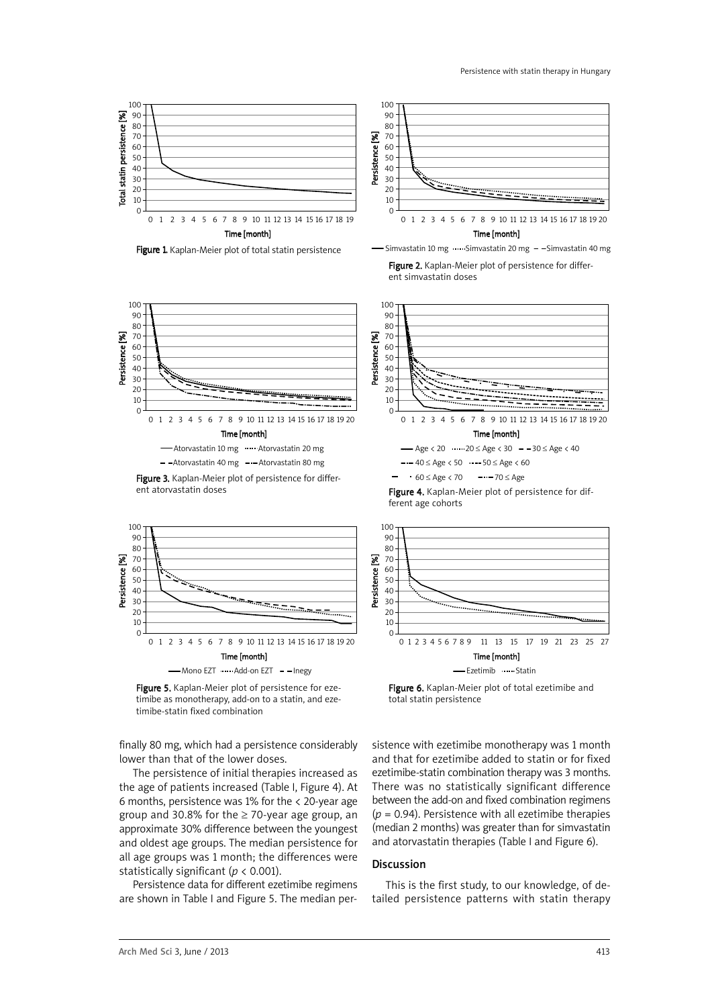



Figure 3. Kaplan-Meier plot of persistence for different atorvastatin doses



Figure 5. Kaplan-Meier plot of persistence for ezetimibe as monotherapy, add-on to a statin, and ezetimibe-statin fixed combination

finally 80 mg, which had a persistence considerably lower than that of the lower doses.

The persistence of initial therapies increased as the age of patients increased (Table I, Figure 4). At 6 months, persistence was 1% for the < 20-year age group and 30.8% for the  $\geq$  70-year age group, an approximate 30% difference between the youngest and oldest age groups. The median persistence for all age groups was 1 month; the differences were statistically significant (*p* < 0.001).

Persistence data for different ezetimibe regimens are shown in Table I and Figure 5. The median per-

100 90 80  $\mathbb{Z}$ 70 Persistence [%] Persistence 60 50 40 30 20 10  $\Omega$ 0123456789 10 11 12 13 14 15 16 17 18 19 20 Time [month]  $-$  Age < 20  $\cdots$  20  $\le$  Age < 30  $-$  30  $\le$  Age < 40  $-$  -  $-$  40  $\leq$  Age  $\lt$  50  $-$  -  $-$  50  $\leq$  Age  $\lt$  60  $60 \leq$  Age < 70  $--70 \leq$  Age

Figure 4. Kaplan-Meier plot of persistence for different age cohorts



Figure 6. Kaplan-Meier plot of total ezetimibe and total statin persistence

sistence with ezetimibe monotherapy was 1 month and that for ezetimibe added to statin or for fixed ezetimibe-statin combination therapy was 3 months. There was no statistically significant difference between the add-on and fixed combination regimens (*p* = 0.94). Persistence with all ezetimibe therapies (median 2 months) was greater than for simvastatin and atorvastatin therapies (Table I and Figure 6).

# Discussion

This is the first study, to our knowledge, of detailed persistence patterns with statin therapy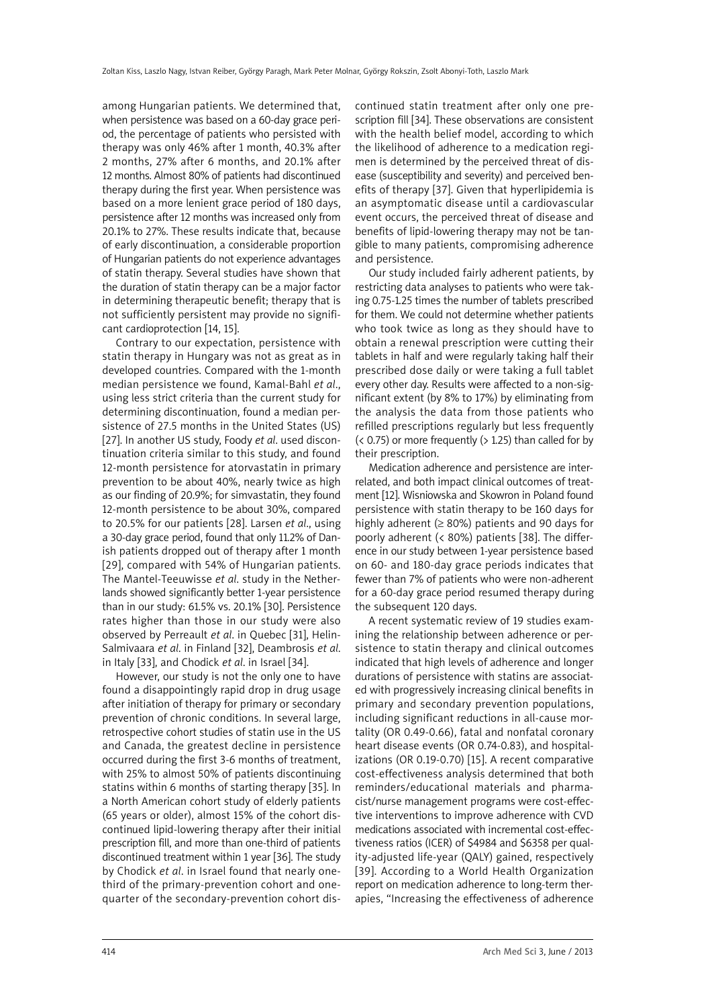among Hungarian patients. We determined that, when persistence was based on a 60-day grace period, the percentage of patients who persisted with therapy was only 46% after 1 month, 40.3% after 2 months, 27% after 6 months, and 20.1% after 12 months. Almost 80% of patients had discontinued therapy during the first year. When persistence was based on a more lenient grace period of 180 days, persistence after 12 months was increased only from 20.1% to 27%. These results indicate that, because of early discontinuation, a considerable proportion of Hungarian patients do not experience advantages of statin therapy. Several studies have shown that the duration of statin therapy can be a major factor in determining therapeutic benefit; therapy that is not sufficiently persistent may provide no significant cardioprotection [14, 15].

Contrary to our expectation, persistence with statin therapy in Hungary was not as great as in developed countries. Compared with the 1-month median persistence we found, Kamal-Bahl *et al*., using less strict criteria than the current study for determining discontinuation, found a median persistence of 27.5 months in the United States (US) [27]. In another US study, Foody *et al*. used discontinuation criteria similar to this study, and found 12-month persistence for atorvastatin in primary prevention to be about 40%, nearly twice as high as our finding of 20.9%; for simvastatin, they found 12-month persistence to be about 30%, compared to 20.5% for our patients [28]. Larsen *et al*., using a 30-day grace period, found that only 11.2% of Danish patients dropped out of therapy after 1 month [29], compared with 54% of Hungarian patients. The Mantel-Teeuwisse *et al*. study in the Netherlands showed significantly better 1-year persistence than in our study: 61.5% vs. 20.1% [30]. Persistence rates higher than those in our study were also observed by Perreault *et al*. in Quebec [31], Helin-Salmivaara *et al*. in Finland [32], Deambrosis *et al*. in Italy [33], and Chodick *et al*. in Israel [34].

However, our study is not the only one to have found a disappointingly rapid drop in drug usage after initiation of therapy for primary or secondary prevention of chronic conditions. In several large, retrospective cohort studies of statin use in the US and Canada, the greatest decline in persistence occurred during the first 3-6 months of treatment, with 25% to almost 50% of patients discontinuing statins within 6 months of starting therapy [35]. In a North American cohort study of elderly patients (65 years or older), almost 15% of the cohort discontinued lipid-lowering therapy after their initial prescription fill, and more than one-third of patients discontinued treatment within 1 year [36]. The study by Chodick *et al*. in Israel found that nearly onethird of the primary-prevention cohort and onequarter of the secondary-prevention cohort discontinued statin treatment after only one prescription fill [34]. These observations are consistent with the health belief model, according to which the likelihood of adherence to a medication regimen is determined by the perceived threat of disease (susceptibility and severity) and perceived benefits of therapy [37]. Given that hyperlipidemia is an asymptomatic disease until a cardiovascular event occurs, the perceived threat of disease and benefits of lipid-lowering therapy may not be tangible to many patients, compromising adherence and persistence.

Our study included fairly adherent patients, by restricting data analyses to patients who were taking 0.75-1.25 times the number of tablets prescribed for them. We could not determine whether patients who took twice as long as they should have to obtain a renewal prescription were cutting their tablets in half and were regularly taking half their prescribed dose daily or were taking a full tablet every other day. Results were affected to a non-significant extent (by 8% to 17%) by eliminating from the analysis the data from those patients who refilled prescriptions regularly but less frequently  $($  < 0.75) or more frequently  $($  > 1.25) than called for by their prescription.

Medication adherence and persistence are interrelated, and both impact clinical outcomes of treatment [12]. Wisniowska and Skowron in Poland found persistence with statin therapy to be 160 days for highly adherent ( $\geq 80\%$ ) patients and 90 days for poorly adherent (< 80%) patients [38]. The difference in our study between 1-year persistence based on 60- and 180-day grace periods indicates that fewer than 7% of patients who were non-adherent for a 60-day grace period resumed therapy during the subsequent 120 days.

A recent systematic review of 19 studies examining the relationship between adherence or persistence to statin therapy and clinical outcomes indicated that high levels of adherence and longer durations of persistence with statins are associated with progressively increasing clinical benefits in primary and secondary prevention populations, including significant reductions in all-cause mortality (OR 0.49-0.66), fatal and nonfatal coronary heart disease events (OR 0.74-0.83), and hospitalizations (OR 0.19-0.70) [15]. A recent comparative cost-effectiveness analysis determined that both reminders/educational materials and pharmacist/nurse management programs were cost-effective interventions to improve adherence with CVD medications associated with incremental cost-effectiveness ratios (ICER) of \$4984 and \$6358 per quality-adjusted life-year (QALY) gained, respectively [39]. According to a World Health Organization report on medication adherence to long-term therapies, "Increasing the effectiveness of adherence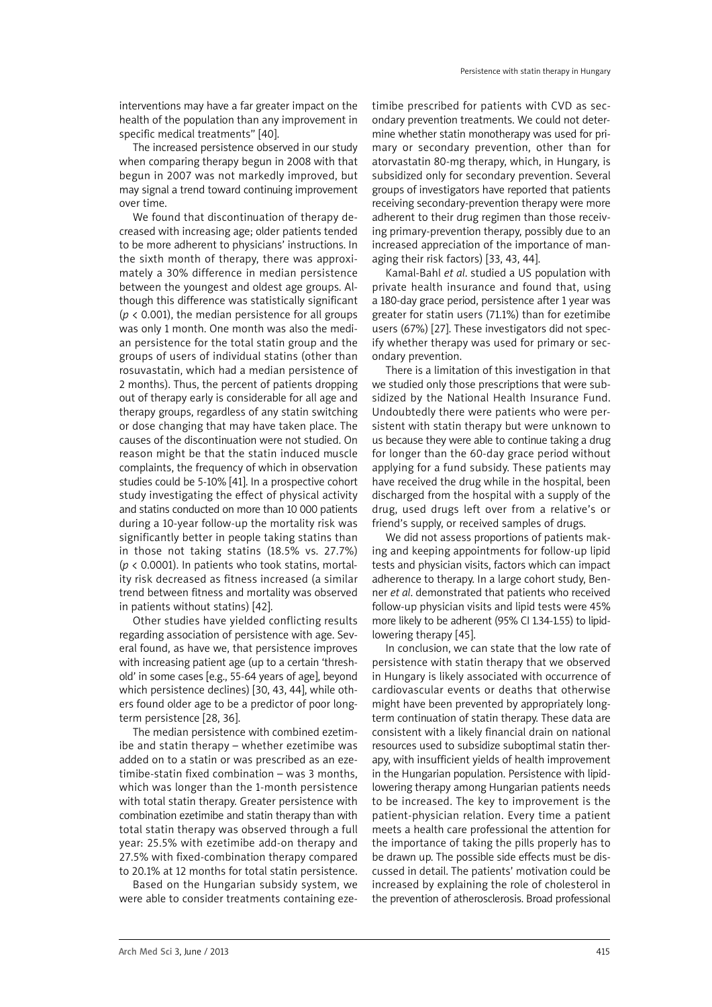interventions may have a far greater impact on the health of the population than any improvement in specific medical treatments" [40].

The increased persistence observed in our study when comparing therapy begun in 2008 with that begun in 2007 was not markedly improved, but may signal a trend toward continuing improvement over time.

We found that discontinuation of therapy decreased with increasing age; older patients tended to be more adherent to physicians' instructions. In the sixth month of therapy, there was approximately a 30% difference in median persistence between the youngest and oldest age groups. Although this difference was statistically significant ( $p$  < 0.001), the median persistence for all groups was only 1 month. One month was also the median persistence for the total statin group and the groups of users of individual statins (other than rosuvastatin, which had a median persistence of 2 months). Thus, the percent of patients dropping out of therapy early is considerable for all age and therapy groups, regardless of any statin switching or dose changing that may have taken place. The causes of the discontinuation were not studied. On reason might be that the statin induced muscle complaints, the frequency of which in observation studies could be 5-10% [41]. In a prospective cohort study investigating the effect of physical activity and statins conducted on more than 10 000 patients during a 10-year follow-up the mortality risk was significantly better in people taking statins than in those not taking statins (18.5% vs. 27.7%) (*p* < 0.0001). In patients who took statins, mortality risk decreased as fitness increased (a similar trend between fitness and mortality was observed in patients without statins) [42].

Other studies have yielded conflicting results regarding association of persistence with age. Several found, as have we, that persistence improves with increasing patient age (up to a certain 'threshold' in some cases [e.g., 55-64 years of age], beyond which persistence declines) [30, 43, 44], while others found older age to be a predictor of poor longterm persistence [28, 36].

The median persistence with combined ezetimibe and statin therapy – whether ezetimibe was added on to a statin or was prescribed as an ezetimibe-statin fixed combination – was 3 months, which was longer than the 1-month persistence with total statin therapy. Greater persistence with combination ezetimibe and statin therapy than with total statin therapy was observed through a full year: 25.5% with ezetimibe add-on therapy and 27.5% with fixed-combination therapy compared to 20.1% at 12 months for total statin persistence.

Based on the Hungarian subsidy system, we were able to consider treatments containing ezetimibe prescribed for patients with CVD as secondary prevention treatments. We could not determine whether statin monotherapy was used for primary or secondary prevention, other than for atorvastatin 80-mg therapy, which, in Hungary, is subsidized only for secondary prevention. Several groups of investigators have reported that patients receiving secondary-prevention therapy were more adherent to their drug regimen than those receiving primary-prevention therapy, possibly due to an increased appreciation of the importance of managing their risk factors) [33, 43, 44].

Kamal-Bahl *et al*. studied a US population with private health insurance and found that, using a 180-day grace period, persistence after 1 year was greater for statin users (71.1%) than for ezetimibe users (67%) [27]. These investigators did not specify whether therapy was used for primary or secondary prevention.

There is a limitation of this investigation in that we studied only those prescriptions that were subsidized by the National Health Insurance Fund. Undoubtedly there were patients who were persistent with statin therapy but were unknown to us because they were able to continue taking a drug for longer than the 60-day grace period without applying for a fund subsidy. These patients may have received the drug while in the hospital, been discharged from the hospital with a supply of the drug, used drugs left over from a relative's or friend's supply, or received samples of drugs.

We did not assess proportions of patients making and keeping appointments for follow-up lipid tests and physician visits, factors which can impact adherence to therapy. In a large cohort study, Benner *et al*. demonstrated that patients who received follow-up physician visits and lipid tests were 45% more likely to be adherent (95% CI 1.34-1.55) to lipidlowering therapy [45].

In conclusion, we can state that the low rate of persistence with statin therapy that we observed in Hungary is likely associated with occurrence of cardiovascular events or deaths that otherwise might have been prevented by appropriately longterm continuation of statin therapy. These data are consistent with a likely financial drain on national resources used to subsidize suboptimal statin therapy, with insufficient yields of health improvement in the Hungarian population. Persistence with lipidlowering therapy among Hungarian patients needs to be increased. The key to improvement is the patient-physician relation. Every time a patient meets a health care professional the attention for the importance of taking the pills properly has to be drawn up. The possible side effects must be discussed in detail. The patients' motivation could be increased by explaining the role of cholesterol in the prevention of atherosclerosis. Broad professional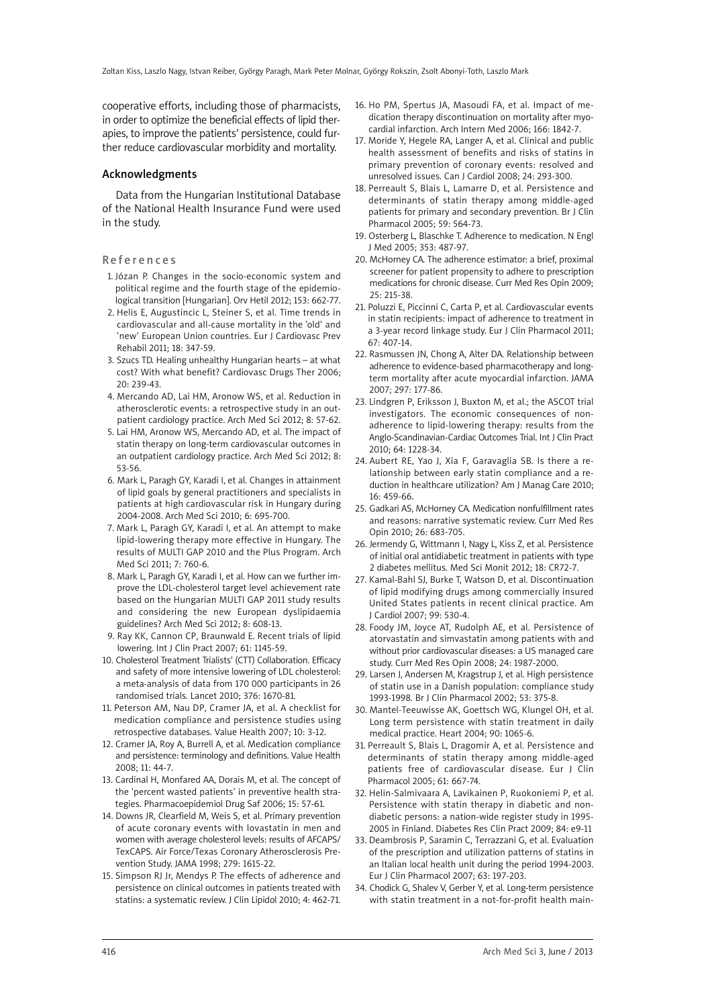cooperative efforts, including those of pharmacists, in order to optimize the beneficial effects of lipid therapies, to improve the patients' persistence, could further reduce cardiovascular morbidity and mortality.

#### Acknowledgments

Data from the Hungarian Institutional Database of the National Health Insurance Fund were used in the study.

#### **References**

- 1. Józan P. Changes in the socio-economic system and political regime and the fourth stage of the epidemiological transition [Hungarian]. Orv Hetil 2012; 153: 662-77.
- 2. Helis E, Augustincic L, Steiner S, et al. Time trends in cardiovascular and all-cause mortality in the 'old' and 'new' European Union countries. Eur J Cardiovasc Prev Rehabil 2011; 18: 347-59.
- 3. Szucs TD. Healing unhealthy Hungarian hearts at what cost? With what benefit? Cardiovasc Drugs Ther 2006; 20: 239-43.
- 4. Mercando AD, Lai HM, Aronow WS, et al. Reduction in atherosclerotic events: a retrospective study in an outpatient cardiology practice. Arch Med Sci 2012; 8: 57-62.
- 5. Lai HM, Aronow WS, Mercando AD, et al. The impact of statin therapy on long-term cardiovascular outcomes in an outpatient cardiology practice. Arch Med Sci 2012; 8: 53-56.
- 6. Mark L, Paragh GY, Karadi I, et al. Changes in attainment of lipid goals by general practitioners and specialists in patients at high cardiovascular risk in Hungary during 2004-2008. Arch Med Sci 2010; 6: 695-700.
- 7. Mark L, Paragh GY, Karadi I, et al. An attempt to make lipid-lowering therapy more effective in Hungary. The results of MULTI GAP 2010 and the Plus Program. Arch Med Sci 2011; 7: 760-6.
- 8. Mark L, Paragh GY, Karadi I, et al. How can we further improve the LDL-cholesterol target level achievement rate based on the Hungarian MULTI GAP 2011 study results and considering the new European dyslipidaemia guidelines? Arch Med Sci 2012; 8: 608-13.
- 9. Ray KK, Cannon CP, Braunwald E. Recent trials of lipid lowering. Int J Clin Pract 2007; 61: 1145-59.
- 10. Cholesterol Treatment Trialists' (CTT) Collaboration. Efficacy and safety of more intensive lowering of LDL cholesterol: a meta-analysis of data from 170 000 participants in 26 randomised trials. Lancet 2010; 376: 1670-81.
- 11. Peterson AM, Nau DP, Cramer JA, et al. A checklist for medication compliance and persistence studies using retrospective databases. Value Health 2007; 10: 3-12.
- 12. Cramer JA, Roy A, Burrell A, et al. Medication compliance and persistence: terminology and definitions. Value Health 2008; 11: 44-7.
- 13. Cardinal H, Monfared AA, Dorais M, et al. The concept of the 'percent wasted patients' in preventive health strategies. Pharmacoepidemiol Drug Saf 2006; 15: 57-61.
- 14. Downs JR, Clearfield M, Weis S, et al. Primary prevention of acute coronary events with lovastatin in men and women with average cholesterol levels: results of AFCAPS/ TexCAPS. Air Force/Texas Coronary Atherosclerosis Prevention Study. JAMA 1998; 279: 1615-22.
- 15. Simpson RJ Jr, Mendys P. The effects of adherence and persistence on clinical outcomes in patients treated with statins: a systematic review. J Clin Lipidol 2010; 4: 462-71.
- 16. Ho PM, Spertus JA, Masoudi FA, et al. Impact of medication therapy discontinuation on mortality after myocardial infarction. Arch Intern Med 2006; 166: 1842-7.
- 17. Moride Y, Hegele RA, Langer A, et al. Clinical and public health assessment of benefits and risks of statins in primary prevention of coronary events: resolved and unresolved issues. Can J Cardiol 2008; 24: 293-300.
- 18. Perreault S, Blais L, Lamarre D, et al. Persistence and determinants of statin therapy among middle-aged patients for primary and secondary prevention. Br J Clin Pharmacol 2005; 59: 564-73.
- 19. Osterberg L, Blaschke T. Adherence to medication. N Engl J Med 2005; 353: 487-97.
- 20. McHorney CA. The adherence estimator: a brief, proximal screener for patient propensity to adhere to prescription medications for chronic disease. Curr Med Res Opin 2009; 25: 215-38.
- 21. Poluzzi E, Piccinni C, Carta P, et al. Cardiovascular events in statin recipients: impact of adherence to treatment in a 3-year record linkage study. Eur J Clin Pharmacol 2011; 67: 407-14.
- 22. Rasmussen JN, Chong A, Alter DA. Relationship between adherence to evidence-based pharmacotherapy and longterm mortality after acute myocardial infarction. JAMA 2007; 297: 177-86.
- 23. Lindgren P, Eriksson J, Buxton M, et al.; the ASCOT trial investigators. The economic consequences of nonadherence to lipid-lowering therapy: results from the Anglo-Scandinavian-Cardiac Outcomes Trial. Int J Clin Pract 2010; 64: 1228-34.
- 24. Aubert RE, Yao J, Xia F, Garavaglia SB. Is there a relationship between early statin compliance and a reduction in healthcare utilization? Am J Manag Care 2010; 16: 459-66.
- 25. Gadkari AS, McHorney CA. Medication nonfulfillment rates and reasons: narrative systematic review. Curr Med Res Opin 2010; 26: 683-705.
- 26. Jermendy G, Wittmann I, Nagy L, Kiss Z, et al. Persistence of initial oral antidiabetic treatment in patients with type 2 diabetes mellitus. Med Sci Monit 2012; 18: CR72-7.
- 27. Kamal-Bahl SJ, Burke T, Watson D, et al. Discontinuation of lipid modifying drugs among commercially insured United States patients in recent clinical practice. Am J Cardiol 2007; 99: 530-4.
- 28. Foody JM, Joyce AT, Rudolph AE, et al. Persistence of atorvastatin and simvastatin among patients with and without prior cardiovascular diseases: a US managed care study. Curr Med Res Opin 2008; 24: 1987-2000.
- 29. Larsen J, Andersen M, Kragstrup J, et al. High persistence of statin use in a Danish population: compliance study 1993-1998. Br J Clin Pharmacol 2002; 53: 375-8.
- 30. Mantel-Teeuwisse AK, Goettsch WG, Klungel OH, et al. Long term persistence with statin treatment in daily medical practice. Heart 2004; 90: 1065-6.
- 31. Perreault S, Blais L, Dragomir A, et al. Persistence and determinants of statin therapy among middle-aged patients free of cardiovascular disease. Eur J Clin Pharmacol 2005; 61: 667-74.
- 32. Helin-Salmivaara A, Lavikainen P, Ruokoniemi P, et al. Persistence with statin therapy in diabetic and nondiabetic persons: a nation-wide register study in 1995- 2005 in Finland. Diabetes Res Clin Pract 2009; 84: e9-11
- 33. Deambrosis P, Saramin C, Terrazzani G, et al. Evaluation of the prescription and utilization patterns of statins in an Italian local health unit during the period 1994-2003. Eur J Clin Pharmacol 2007; 63: 197-203.
- 34. Chodick G, Shalev V, Gerber Y, et al. Long-term persistence with statin treatment in a not-for-profit health main-